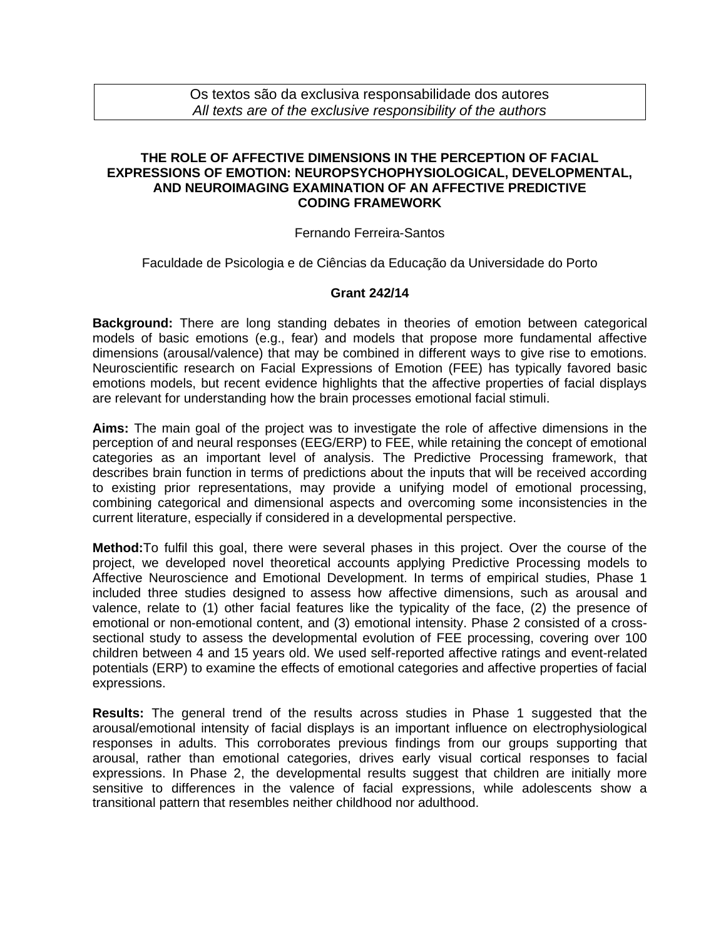# **THE ROLE OF AFFECTIVE DIMENSIONS IN THE PERCEPTION OF FACIAL EXPRESSIONS OF EMOTION: NEUROPSYCHOPHYSIOLOGICAL, DEVELOPMENTAL, AND NEUROIMAGING EXAMINATION OF AN AFFECTIVE PREDICTIVE CODING FRAMEWORK**

## Fernando Ferreira-Santos

Faculdade de Psicologia e de Ciências da Educação da Universidade do Porto

## **Grant 242/14**

**Background:** There are long standing debates in theories of emotion between categorical models of basic emotions (e.g., fear) and models that propose more fundamental affective dimensions (arousal/valence) that may be combined in different ways to give rise to emotions. Neuroscientific research on Facial Expressions of Emotion (FEE) has typically favored basic emotions models, but recent evidence highlights that the affective properties of facial displays are relevant for understanding how the brain processes emotional facial stimuli.

**Aims:** The main goal of the project was to investigate the role of affective dimensions in the perception of and neural responses (EEG/ERP) to FEE, while retaining the concept of emotional categories as an important level of analysis. The Predictive Processing framework, that describes brain function in terms of predictions about the inputs that will be received according to existing prior representations, may provide a unifying model of emotional processing, combining categorical and dimensional aspects and overcoming some inconsistencies in the current literature, especially if considered in a developmental perspective.

**Method:**To fulfil this goal, there were several phases in this project. Over the course of the project, we developed novel theoretical accounts applying Predictive Processing models to Affective Neuroscience and Emotional Development. In terms of empirical studies, Phase 1 included three studies designed to assess how affective dimensions, such as arousal and valence, relate to (1) other facial features like the typicality of the face, (2) the presence of emotional or non-emotional content, and (3) emotional intensity. Phase 2 consisted of a crosssectional study to assess the developmental evolution of FEE processing, covering over 100 children between 4 and 15 years old. We used self-reported affective ratings and event-related potentials (ERP) to examine the effects of emotional categories and affective properties of facial expressions.

**Results:** The general trend of the results across studies in Phase 1 suggested that the arousal/emotional intensity of facial displays is an important influence on electrophysiological responses in adults. This corroborates previous findings from our groups supporting that arousal, rather than emotional categories, drives early visual cortical responses to facial expressions. In Phase 2, the developmental results suggest that children are initially more sensitive to differences in the valence of facial expressions, while adolescents show a transitional pattern that resembles neither childhood nor adulthood.